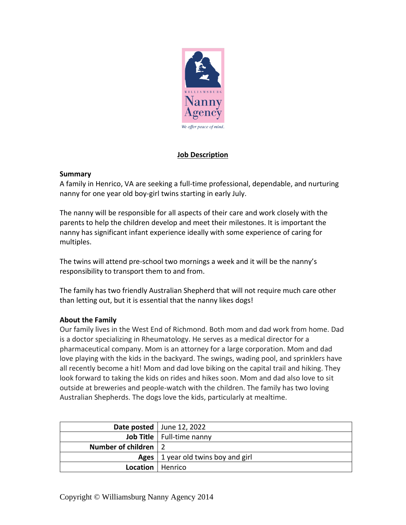

# **Job Description**

### **Summary**

A family in Henrico, VA are seeking a full-time professional, dependable, and nurturing nanny for one year old boy-girl twins starting in early July.

The nanny will be responsible for all aspects of their care and work closely with the parents to help the children develop and meet their milestones. It is important the nanny has significant infant experience ideally with some experience of caring for multiples.

The twins will attend pre-school two mornings a week and it will be the nanny's responsibility to transport them to and from.

The family has two friendly Australian Shepherd that will not require much care other than letting out, but it is essential that the nanny likes dogs!

## **About the Family**

Our family lives in the West End of Richmond. Both mom and dad work from home. Dad is a doctor specializing in Rheumatology. He serves as a medical director for a pharmaceutical company. Mom is an attorney for a large corporation. Mom and dad love playing with the kids in the backyard. The swings, wading pool, and sprinklers have all recently become a hit! Mom and dad love biking on the capital trail and hiking. They look forward to taking the kids on rides and hikes soon. Mom and dad also love to sit outside at breweries and people-watch with the children. The family has two loving Australian Shepherds. The dogs love the kids, particularly at mealtime.

|                        | Date posted   June 12, 2022          |
|------------------------|--------------------------------------|
|                        | Job Title   Full-time nanny          |
| Number of children   2 |                                      |
|                        | Ages   1 year old twins boy and girl |
| Location   Henrico     |                                      |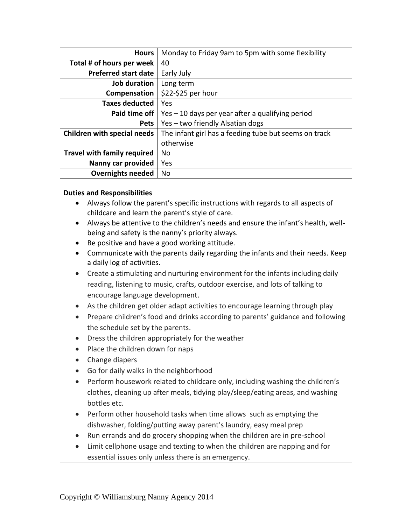| <b>Hours</b>                       | Monday to Friday 9am to 5pm with some flexibility     |
|------------------------------------|-------------------------------------------------------|
| Total # of hours per week          | 40                                                    |
| <b>Preferred start date</b>        | Early July                                            |
| Job duration                       | Long term                                             |
| Compensation                       | \$22-\$25 per hour                                    |
| <b>Taxes deducted</b>              | Yes                                                   |
| Paid time off                      | Yes - 10 days per year after a qualifying period      |
| <b>Pets</b>                        | Yes - two friendly Alsatian dogs                      |
| <b>Children with special needs</b> | The infant girl has a feeding tube but seems on track |
|                                    | otherwise                                             |
| <b>Travel with family required</b> | No                                                    |
| Nanny car provided                 | Yes                                                   |
| <b>Overnights needed</b>           | No                                                    |

### **Duties and Responsibilities**

- Always follow the parent's specific instructions with regards to all aspects of childcare and learn the parent's style of care.
- Always be attentive to the children's needs and ensure the infant's health, wellbeing and safety is the nanny's priority always.
- Be positive and have a good working attitude.
- Communicate with the parents daily regarding the infants and their needs. Keep a daily log of activities.
- Create a stimulating and nurturing environment for the infants including daily reading, listening to music, crafts, outdoor exercise, and lots of talking to encourage language development.
- As the children get older adapt activities to encourage learning through play
- Prepare children's food and drinks according to parents' guidance and following the schedule set by the parents.
- Dress the children appropriately for the weather
- Place the children down for naps
- Change diapers
- Go for daily walks in the neighborhood
- Perform housework related to childcare only, including washing the children's clothes, cleaning up after meals, tidying play/sleep/eating areas, and washing bottles etc.
- Perform other household tasks when time allows such as emptying the dishwasher, folding/putting away parent's laundry, easy meal prep
- Run errands and do grocery shopping when the children are in pre-school
- Limit cellphone usage and texting to when the children are napping and for essential issues only unless there is an emergency.